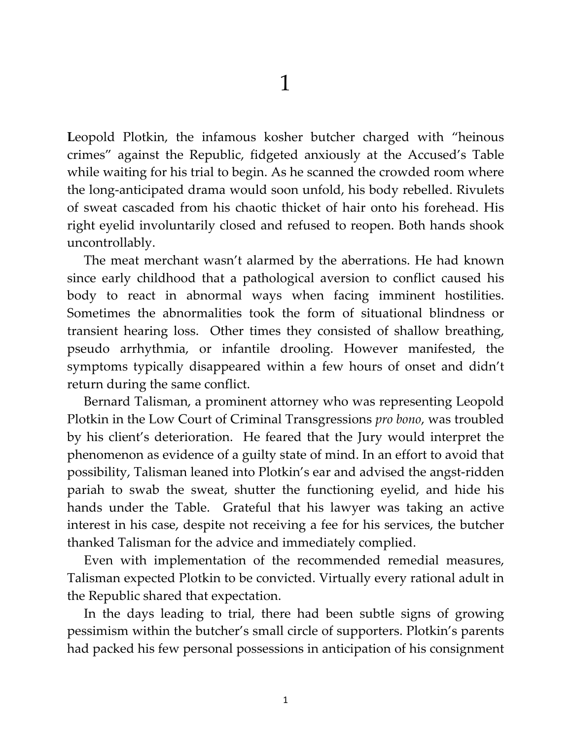Leopold Plotkin, the infamous kosher butcher charged with "heinous crimes" against the Republic, fidgeted anxiously at the Accused's Table while waiting for his trial to begin. As he scanned the crowded room where the long-anticipated drama would soon unfold, his body rebelled. Rivulets of sweat cascaded from his chaotic thicket of hair onto his forehead. His right eyelid involuntarily closed and refused to reopen. Both hands shook uncontrollably.

The meat merchant wasn't alarmed by the aberrations. He had known since early childhood that a pathological aversion to conflict caused his body to react in abnormal ways when facing imminent hostilities. Sometimes the abnormalities took the form of situational blindness or transient hearing loss. Other times they consisted of shallow breathing, pseudo arrhythmia, or infantile drooling. However manifested, the symptoms typically disappeared within a few hours of onset and didn't return during the same conflict.

Bernard Talisman, a prominent attorney who was representing Leopold Plotkin in the Low Court of Criminal Transgressions *pro bono*, was troubled by his client's deterioration. He feared that the Jury would interpret the phenomenon as evidence of a guilty state of mind. In an effort to avoid that possibility, Talisman leaned into Plotkin's ear and advised the angst-ridden pariah to swab the sweat, shutter the functioning eyelid, and hide his hands under the Table. Grateful that his lawyer was taking an active interest in his case, despite not receiving a fee for his services, the butcher thanked Talisman for the advice and immediately complied.

Even with implementation of the recommended remedial measures, Talisman expected Plotkin to be convicted. Virtually every rational adult in the Republic shared that expectation.

In the days leading to trial, there had been subtle signs of growing pessimism within the butcher's small circle of supporters. Plotkin's parents had packed his few personal possessions in anticipation of his consignment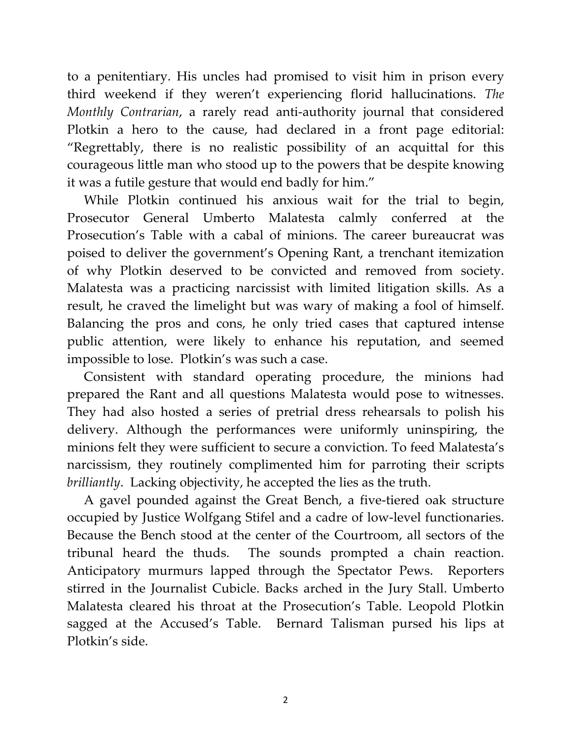to a penitentiary. His uncles had promised to visit him in prison every third weekend if they weren't experiencing florid hallucinations. *The Monthly Contrarian*, a rarely read anti-authority journal that considered Plotkin a hero to the cause, had declared in a front page editorial: "Regrettably, there is no realistic possibility of an acquittal for this courageous little man who stood up to the powers that be despite knowing it was a futile gesture that would end badly for him."

While Plotkin continued his anxious wait for the trial to begin, Prosecutor General Umberto Malatesta calmly conferred at the Prosecution's Table with a cabal of minions. The career bureaucrat was poised to deliver the government's Opening Rant, a trenchant itemization of why Plotkin deserved to be convicted and removed from society. Malatesta was a practicing narcissist with limited litigation skills. As a result, he craved the limelight but was wary of making a fool of himself. Balancing the pros and cons, he only tried cases that captured intense public attention, were likely to enhance his reputation, and seemed impossible to lose. Plotkin's was such a case.

Consistent with standard operating procedure, the minions had prepared the Rant and all questions Malatesta would pose to witnesses. They had also hosted a series of pretrial dress rehearsals to polish his delivery. Although the performances were uniformly uninspiring, the minions felt they were sufficient to secure a conviction. To feed Malatesta's narcissism, they routinely complimented him for parroting their scripts *brilliantly*. Lacking objectivity, he accepted the lies as the truth.

A gavel pounded against the Great Bench, a five-tiered oak structure occupied by Justice Wolfgang Stifel and a cadre of low-level functionaries. Because the Bench stood at the center of the Courtroom, all sectors of the tribunal heard the thuds. The sounds prompted a chain reaction. Anticipatory murmurs lapped through the Spectator Pews. Reporters stirred in the Journalist Cubicle. Backs arched in the Jury Stall. Umberto Malatesta cleared his throat at the Prosecution's Table. Leopold Plotkin sagged at the Accused's Table. Bernard Talisman pursed his lips at Plotkin's side.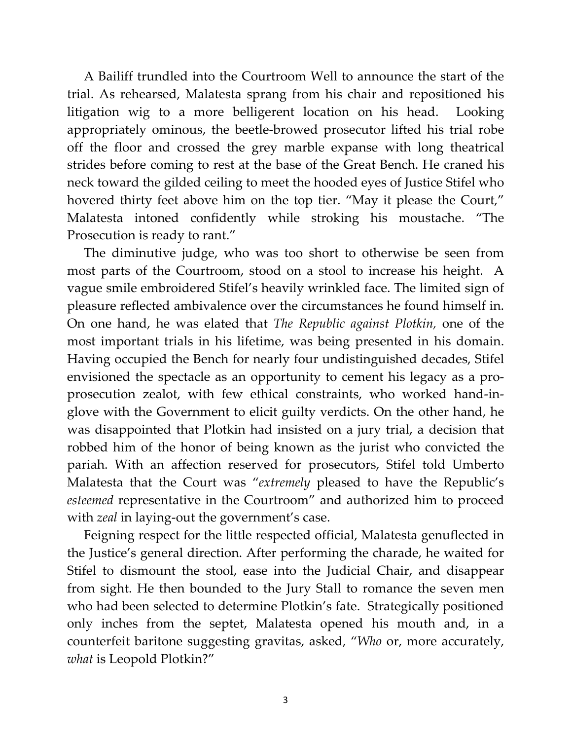A Bailiff trundled into the Courtroom Well to announce the start of the trial. As rehearsed, Malatesta sprang from his chair and repositioned his litigation wig to a more belligerent location on his head. Looking appropriately ominous, the beetle-browed prosecutor lifted his trial robe off the floor and crossed the grey marble expanse with long theatrical strides before coming to rest at the base of the Great Bench. He craned his neck toward the gilded ceiling to meet the hooded eyes of Justice Stifel who hovered thirty feet above him on the top tier. "May it please the Court," Malatesta intoned confidently while stroking his moustache. "The Prosecution is ready to rant."

The diminutive judge, who was too short to otherwise be seen from most parts of the Courtroom, stood on a stool to increase his height. A vague smile embroidered Stifel's heavily wrinkled face. The limited sign of pleasure reflected ambivalence over the circumstances he found himself in. On one hand, he was elated that *The Republic against Plotkin,* one of the most important trials in his lifetime, was being presented in his domain. Having occupied the Bench for nearly four undistinguished decades, Stifel envisioned the spectacle as an opportunity to cement his legacy as a proprosecution zealot, with few ethical constraints, who worked hand-inglove with the Government to elicit guilty verdicts. On the other hand, he was disappointed that Plotkin had insisted on a jury trial, a decision that robbed him of the honor of being known as the jurist who convicted the pariah. With an affection reserved for prosecutors, Stifel told Umberto Malatesta that the Court was "*extremely* pleased to have the Republic's *esteemed* representative in the Courtroom" and authorized him to proceed with *zeal* in laying-out the government's case.

Feigning respect for the little respected official, Malatesta genuflected in the Justice's general direction. After performing the charade, he waited for Stifel to dismount the stool, ease into the Judicial Chair, and disappear from sight. He then bounded to the Jury Stall to romance the seven men who had been selected to determine Plotkin's fate. Strategically positioned only inches from the septet, Malatesta opened his mouth and, in a counterfeit baritone suggesting gravitas, asked, "*Who* or, more accurately, *what* is Leopold Plotkin?"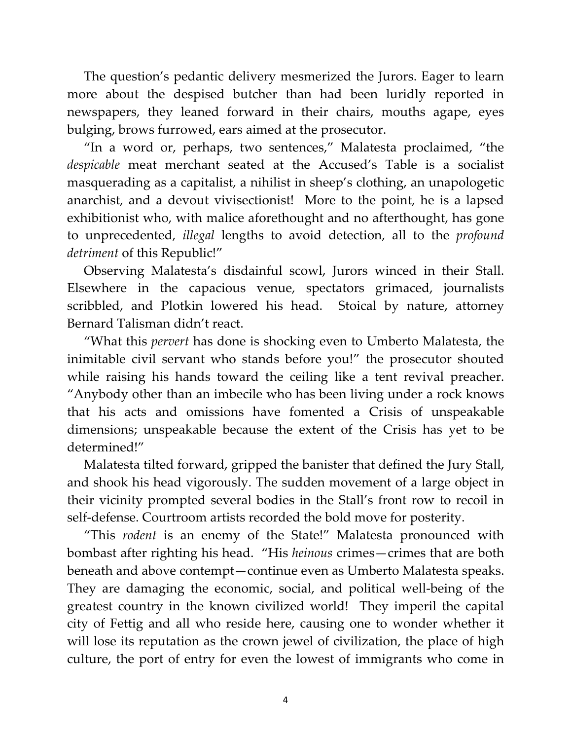The question's pedantic delivery mesmerized the Jurors. Eager to learn more about the despised butcher than had been luridly reported in newspapers, they leaned forward in their chairs, mouths agape, eyes bulging, brows furrowed, ears aimed at the prosecutor.

"In a word or, perhaps, two sentences," Malatesta proclaimed, "the *despicable* meat merchant seated at the Accused's Table is a socialist masquerading as a capitalist, a nihilist in sheep's clothing, an unapologetic anarchist, and a devout vivisectionist! More to the point, he is a lapsed exhibitionist who, with malice aforethought and no afterthought, has gone to unprecedented, *illegal* lengths to avoid detection, all to the *profound detriment* of this Republic!"

Observing Malatesta's disdainful scowl, Jurors winced in their Stall. Elsewhere in the capacious venue, spectators grimaced, journalists scribbled, and Plotkin lowered his head. Stoical by nature, attorney Bernard Talisman didn't react.

"What this *pervert* has done is shocking even to Umberto Malatesta, the inimitable civil servant who stands before you!" the prosecutor shouted while raising his hands toward the ceiling like a tent revival preacher. "Anybody other than an imbecile who has been living under a rock knows that his acts and omissions have fomented a Crisis of unspeakable dimensions; unspeakable because the extent of the Crisis has yet to be determined!"

Malatesta tilted forward, gripped the banister that defined the Jury Stall, and shook his head vigorously. The sudden movement of a large object in their vicinity prompted several bodies in the Stall's front row to recoil in self-defense. Courtroom artists recorded the bold move for posterity.

"This *rodent* is an enemy of the State!" Malatesta pronounced with bombast after righting his head. "His *heinous* crimes—crimes that are both beneath and above contempt—continue even as Umberto Malatesta speaks. They are damaging the economic, social, and political well-being of the greatest country in the known civilized world! They imperil the capital city of Fettig and all who reside here, causing one to wonder whether it will lose its reputation as the crown jewel of civilization, the place of high culture, the port of entry for even the lowest of immigrants who come in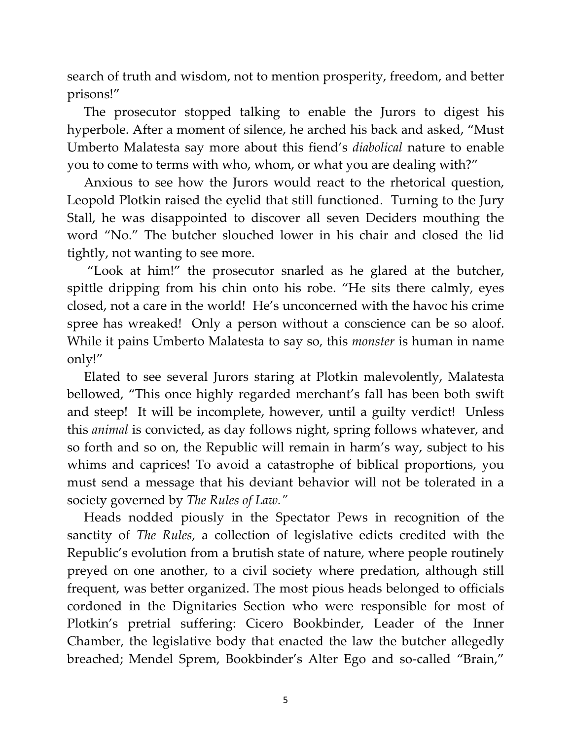search of truth and wisdom, not to mention prosperity, freedom, and better prisons!"

The prosecutor stopped talking to enable the Jurors to digest his hyperbole. After a moment of silence, he arched his back and asked, "Must Umberto Malatesta say more about this fiend's *diabolical* nature to enable you to come to terms with who, whom, or what you are dealing with?"

Anxious to see how the Jurors would react to the rhetorical question, Leopold Plotkin raised the eyelid that still functioned. Turning to the Jury Stall, he was disappointed to discover all seven Deciders mouthing the word "No." The butcher slouched lower in his chair and closed the lid tightly, not wanting to see more.

"Look at him!" the prosecutor snarled as he glared at the butcher, spittle dripping from his chin onto his robe. "He sits there calmly, eyes closed, not a care in the world! He's unconcerned with the havoc his crime spree has wreaked! Only a person without a conscience can be so aloof. While it pains Umberto Malatesta to say so, this *monster* is human in name only!"

Elated to see several Jurors staring at Plotkin malevolently, Malatesta bellowed, "This once highly regarded merchant's fall has been both swift and steep! It will be incomplete, however, until a guilty verdict! Unless this *animal* is convicted, as day follows night, spring follows whatever, and so forth and so on, the Republic will remain in harm's way, subject to his whims and caprices! To avoid a catastrophe of biblical proportions, you must send a message that his deviant behavior will not be tolerated in a society governed by *The Rules of Law."*

Heads nodded piously in the Spectator Pews in recognition of the sanctity of *The Rules*, a collection of legislative edicts credited with the Republic's evolution from a brutish state of nature, where people routinely preyed on one another, to a civil society where predation, although still frequent, was better organized. The most pious heads belonged to officials cordoned in the Dignitaries Section who were responsible for most of Plotkin's pretrial suffering: Cicero Bookbinder, Leader of the Inner Chamber, the legislative body that enacted the law the butcher allegedly breached; Mendel Sprem, Bookbinder's Alter Ego and so-called "Brain,"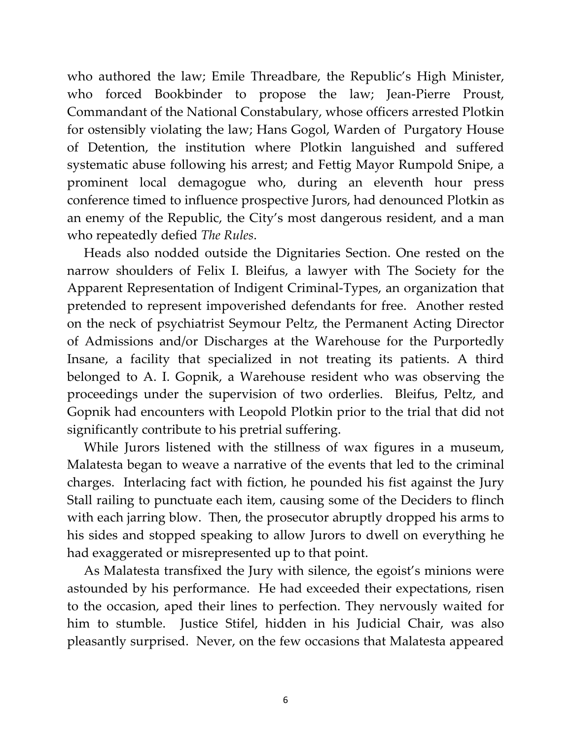who authored the law; Emile Threadbare, the Republic's High Minister, who forced Bookbinder to propose the law; Jean-Pierre Proust, Commandant of the National Constabulary, whose officers arrested Plotkin for ostensibly violating the law; Hans Gogol, Warden of Purgatory House of Detention, the institution where Plotkin languished and suffered systematic abuse following his arrest; and Fettig Mayor Rumpold Snipe, a prominent local demagogue who, during an eleventh hour press conference timed to influence prospective Jurors, had denounced Plotkin as an enemy of the Republic, the City's most dangerous resident, and a man who repeatedly defied *The Rules*.

Heads also nodded outside the Dignitaries Section. One rested on the narrow shoulders of Felix I. Bleifus, a lawyer with The Society for the Apparent Representation of Indigent Criminal-Types, an organization that pretended to represent impoverished defendants for free. Another rested on the neck of psychiatrist Seymour Peltz, the Permanent Acting Director of Admissions and/or Discharges at the Warehouse for the Purportedly Insane, a facility that specialized in not treating its patients. A third belonged to A. I. Gopnik, a Warehouse resident who was observing the proceedings under the supervision of two orderlies. Bleifus, Peltz, and Gopnik had encounters with Leopold Plotkin prior to the trial that did not significantly contribute to his pretrial suffering.

While Jurors listened with the stillness of wax figures in a museum, Malatesta began to weave a narrative of the events that led to the criminal charges. Interlacing fact with fiction, he pounded his fist against the Jury Stall railing to punctuate each item, causing some of the Deciders to flinch with each jarring blow. Then, the prosecutor abruptly dropped his arms to his sides and stopped speaking to allow Jurors to dwell on everything he had exaggerated or misrepresented up to that point.

As Malatesta transfixed the Jury with silence, the egoist's minions were astounded by his performance. He had exceeded their expectations, risen to the occasion, aped their lines to perfection. They nervously waited for him to stumble. Justice Stifel, hidden in his Judicial Chair, was also pleasantly surprised. Never, on the few occasions that Malatesta appeared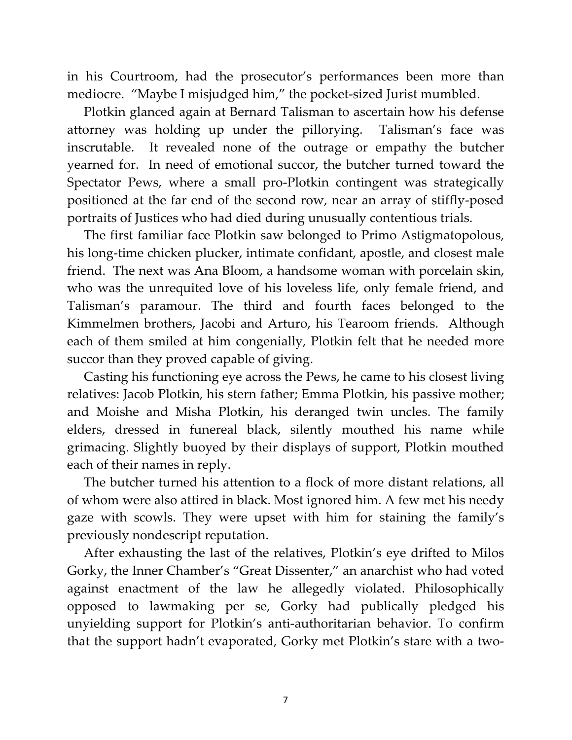in his Courtroom, had the prosecutor's performances been more than mediocre. "Maybe I misjudged him," the pocket-sized Jurist mumbled.

Plotkin glanced again at Bernard Talisman to ascertain how his defense attorney was holding up under the pillorying. Talisman's face was inscrutable. It revealed none of the outrage or empathy the butcher yearned for. In need of emotional succor, the butcher turned toward the Spectator Pews, where a small pro-Plotkin contingent was strategically positioned at the far end of the second row, near an array of stiffly-posed portraits of Justices who had died during unusually contentious trials.

The first familiar face Plotkin saw belonged to Primo Astigmatopolous, his long-time chicken plucker, intimate confidant, apostle, and closest male friend. The next was Ana Bloom, a handsome woman with porcelain skin, who was the unrequited love of his loveless life, only female friend, and Talisman's paramour. The third and fourth faces belonged to the Kimmelmen brothers, Jacobi and Arturo, his Tearoom friends. Although each of them smiled at him congenially, Plotkin felt that he needed more succor than they proved capable of giving.

Casting his functioning eye across the Pews, he came to his closest living relatives: Jacob Plotkin, his stern father; Emma Plotkin, his passive mother; and Moishe and Misha Plotkin, his deranged twin uncles. The family elders, dressed in funereal black, silently mouthed his name while grimacing. Slightly buoyed by their displays of support, Plotkin mouthed each of their names in reply.

The butcher turned his attention to a flock of more distant relations, all of whom were also attired in black. Most ignored him. A few met his needy gaze with scowls. They were upset with him for staining the family's previously nondescript reputation.

After exhausting the last of the relatives, Plotkin's eye drifted to Milos Gorky, the Inner Chamber's "Great Dissenter," an anarchist who had voted against enactment of the law he allegedly violated. Philosophically opposed to lawmaking per se, Gorky had publically pledged his unyielding support for Plotkin's anti-authoritarian behavior. To confirm that the support hadn't evaporated, Gorky met Plotkin's stare with a two